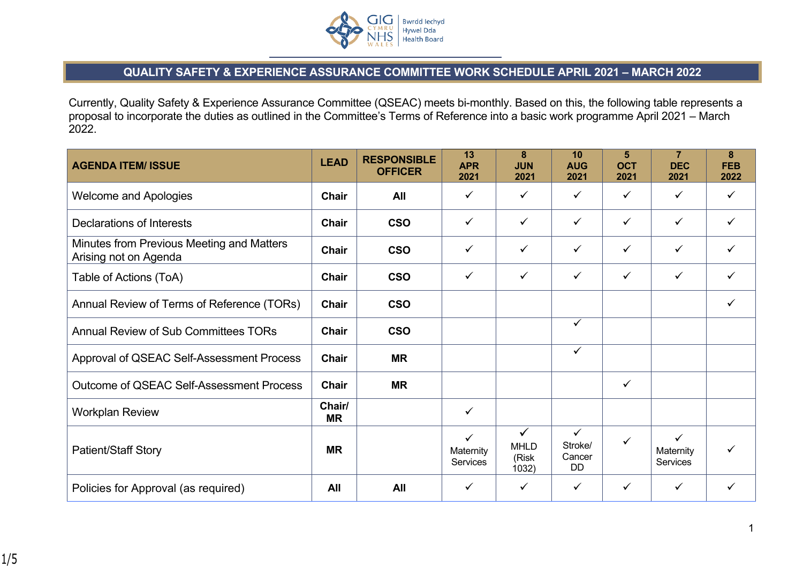

## **QUALITY SAFETY & EXPERIENCE ASSURANCE COMMITTEE WORK SCHEDULE APRIL 2021 – MARCH 2022**

Currently, Quality Safety & Experience Assurance Committee (QSEAC) meets bi-monthly. Based on this, the following table represents a proposal to incorporate the duties as outlined in the Committee's Terms of Reference into a basic work programme April 2021 – March 2022.

| <b>AGENDA ITEM/ ISSUE</b>                                          | <b>LEAD</b>         | <b>RESPONSIBLE</b><br><b>OFFICER</b> | 13<br><b>APR</b><br>2021              | 8<br><b>JUN</b><br>2021            | 10<br><b>AUG</b><br>2021                | 5<br><b>OCT</b><br>2021 | 7<br><b>DEC</b><br>2021               | 8<br><b>FEB</b><br>2022 |
|--------------------------------------------------------------------|---------------------|--------------------------------------|---------------------------------------|------------------------------------|-----------------------------------------|-------------------------|---------------------------------------|-------------------------|
| <b>Welcome and Apologies</b>                                       | <b>Chair</b>        | All                                  | ✓                                     | $\checkmark$                       | $\checkmark$                            | ✓                       | $\checkmark$                          | $\checkmark$            |
| Declarations of Interests                                          | <b>Chair</b>        | <b>CSO</b>                           | ✓                                     | $\checkmark$                       | $\checkmark$                            | $\checkmark$            | $\checkmark$                          | ✓                       |
| Minutes from Previous Meeting and Matters<br>Arising not on Agenda | <b>Chair</b>        | <b>CSO</b>                           | $\checkmark$                          | $\checkmark$                       | $\checkmark$                            | $\checkmark$            | $\checkmark$                          | ✓                       |
| Table of Actions (ToA)                                             | Chair               | <b>CSO</b>                           | $\checkmark$                          | $\checkmark$                       | $\checkmark$                            | $\checkmark$            | $\checkmark$                          | $\checkmark$            |
| Annual Review of Terms of Reference (TORs)                         | <b>Chair</b>        | <b>CSO</b>                           |                                       |                                    |                                         |                         |                                       | $\checkmark$            |
| <b>Annual Review of Sub Committees TORs</b>                        | Chair               | <b>CSO</b>                           |                                       |                                    | $\checkmark$                            |                         |                                       |                         |
| Approval of QSEAC Self-Assessment Process                          | <b>Chair</b>        | <b>MR</b>                            |                                       |                                    | $\checkmark$                            |                         |                                       |                         |
| <b>Outcome of QSEAC Self-Assessment Process</b>                    | Chair               | <b>MR</b>                            |                                       |                                    |                                         | $\checkmark$            |                                       |                         |
| <b>Workplan Review</b>                                             | Chair/<br><b>MR</b> |                                      | $\checkmark$                          |                                    |                                         |                         |                                       |                         |
| <b>Patient/Staff Story</b>                                         | <b>MR</b>           |                                      | $\checkmark$<br>Maternity<br>Services | ✓<br><b>MHLD</b><br>(Risk<br>1032) | $\checkmark$<br>Stroke/<br>Cancer<br>DD | $\checkmark$            | $\checkmark$<br>Maternity<br>Services | ✓                       |
| Policies for Approval (as required)                                | All                 | All                                  | $\checkmark$                          | $\checkmark$                       | $\checkmark$                            | $\checkmark$            | $\checkmark$                          | ✓                       |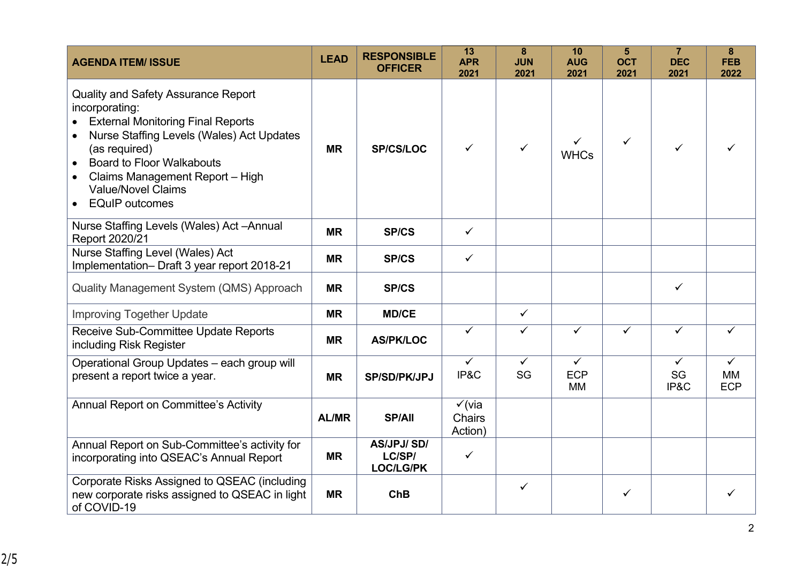| <b>AGENDA ITEM/ ISSUE</b>                                                                                                                                                                                                                                                                                        | <b>LEAD</b>  | <b>RESPONSIBLE</b><br><b>OFFICER</b>            | 13<br><b>APR</b><br>2021                      | 8<br><b>JUN</b><br>2021 | 10<br><b>AUG</b><br>2021                | 5<br><b>OCT</b><br>2021 | $\overline{7}$<br><b>DEC</b><br>2021 | 8<br><b>FEB</b><br>2022                 |
|------------------------------------------------------------------------------------------------------------------------------------------------------------------------------------------------------------------------------------------------------------------------------------------------------------------|--------------|-------------------------------------------------|-----------------------------------------------|-------------------------|-----------------------------------------|-------------------------|--------------------------------------|-----------------------------------------|
| <b>Quality and Safety Assurance Report</b><br>incorporating:<br><b>External Monitoring Final Reports</b><br>Nurse Staffing Levels (Wales) Act Updates<br>(as required)<br><b>Board to Floor Walkabouts</b><br>Claims Management Report - High<br><b>Value/Novel Claims</b><br><b>EQuIP</b> outcomes<br>$\bullet$ | <b>MR</b>    | <b>SP/CS/LOC</b>                                | $\checkmark$                                  | ✓                       | ✓<br><b>WHCs</b>                        | $\checkmark$            | ✓                                    |                                         |
| Nurse Staffing Levels (Wales) Act - Annual<br>Report 2020/21                                                                                                                                                                                                                                                     | <b>MR</b>    | <b>SP/CS</b>                                    | $\checkmark$                                  |                         |                                         |                         |                                      |                                         |
| Nurse Staffing Level (Wales) Act<br>Implementation- Draft 3 year report 2018-21                                                                                                                                                                                                                                  | <b>MR</b>    | <b>SP/CS</b>                                    | $\checkmark$                                  |                         |                                         |                         |                                      |                                         |
| <b>Quality Management System (QMS) Approach</b>                                                                                                                                                                                                                                                                  | <b>MR</b>    | <b>SP/CS</b>                                    |                                               |                         |                                         |                         | ✓                                    |                                         |
| <b>Improving Together Update</b>                                                                                                                                                                                                                                                                                 | <b>MR</b>    | <b>MD/CE</b>                                    |                                               | $\checkmark$            |                                         |                         |                                      |                                         |
| Receive Sub-Committee Update Reports<br>including Risk Register                                                                                                                                                                                                                                                  | <b>MR</b>    | <b>AS/PK/LOC</b>                                | $\overline{\checkmark}$                       | $\overline{\checkmark}$ | $\overline{\checkmark}$                 | $\checkmark$            | $\checkmark$                         | ✓                                       |
| Operational Group Updates - each group will<br>present a report twice a year.                                                                                                                                                                                                                                    | <b>MR</b>    | <b>SP/SD/PK/JPJ</b>                             | $\checkmark$<br>IP&C                          | $\checkmark$<br>SG      | $\checkmark$<br><b>ECP</b><br><b>MM</b> |                         | $\checkmark$<br>SG<br>IP&C           | $\checkmark$<br><b>MM</b><br><b>ECP</b> |
| <b>Annual Report on Committee's Activity</b>                                                                                                                                                                                                                                                                     | <b>AL/MR</b> | <b>SP/All</b>                                   | $\checkmark$ (via<br><b>Chairs</b><br>Action) |                         |                                         |                         |                                      |                                         |
| Annual Report on Sub-Committee's activity for<br>incorporating into QSEAC's Annual Report                                                                                                                                                                                                                        | <b>MR</b>    | <b>AS/JPJ/SD/</b><br>LC/SP/<br><b>LOC/LG/PK</b> | $\checkmark$                                  |                         |                                         |                         |                                      |                                         |
| Corporate Risks Assigned to QSEAC (including<br>new corporate risks assigned to QSEAC in light<br>of COVID-19                                                                                                                                                                                                    | <b>MR</b>    | <b>ChB</b>                                      |                                               | ✓                       |                                         | $\checkmark$            |                                      |                                         |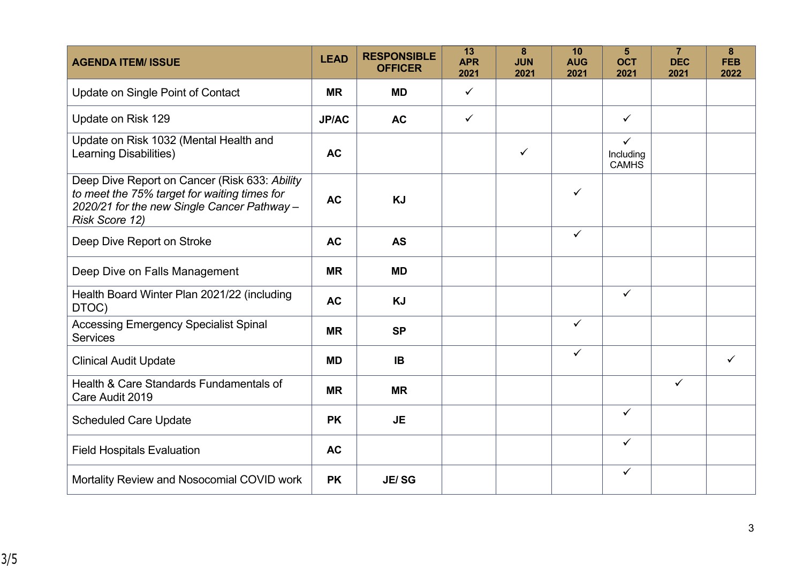| <b>AGENDA ITEM/ ISSUE</b>                                                                                                                                      | <b>LEAD</b>  | <b>RESPONSIBLE</b><br><b>OFFICER</b> | 13<br><b>APR</b><br>2021 | 8<br><b>JUN</b><br>2021 | 10<br><b>AUG</b><br>2021 | 5<br><b>OCT</b><br>2021                   | $\overline{7}$<br><b>DEC</b><br>2021 | 8<br><b>FEB</b><br>2022 |
|----------------------------------------------------------------------------------------------------------------------------------------------------------------|--------------|--------------------------------------|--------------------------|-------------------------|--------------------------|-------------------------------------------|--------------------------------------|-------------------------|
| Update on Single Point of Contact                                                                                                                              | <b>MR</b>    | <b>MD</b>                            | $\checkmark$             |                         |                          |                                           |                                      |                         |
| Update on Risk 129                                                                                                                                             | <b>JP/AC</b> | <b>AC</b>                            | $\checkmark$             |                         |                          | $\checkmark$                              |                                      |                         |
| Update on Risk 1032 (Mental Health and<br><b>Learning Disabilities)</b>                                                                                        | <b>AC</b>    |                                      |                          | $\checkmark$            |                          | $\checkmark$<br>Including<br><b>CAMHS</b> |                                      |                         |
| Deep Dive Report on Cancer (Risk 633: Ability<br>to meet the 75% target for waiting times for<br>2020/21 for the new Single Cancer Pathway -<br>Risk Score 12) | <b>AC</b>    | <b>KJ</b>                            |                          |                         | $\checkmark$             |                                           |                                      |                         |
| Deep Dive Report on Stroke                                                                                                                                     | <b>AC</b>    | <b>AS</b>                            |                          |                         | $\checkmark$             |                                           |                                      |                         |
| Deep Dive on Falls Management                                                                                                                                  | <b>MR</b>    | <b>MD</b>                            |                          |                         |                          |                                           |                                      |                         |
| Health Board Winter Plan 2021/22 (including<br>DTOC)                                                                                                           | <b>AC</b>    | <b>KJ</b>                            |                          |                         |                          | $\checkmark$                              |                                      |                         |
| <b>Accessing Emergency Specialist Spinal</b><br><b>Services</b>                                                                                                | <b>MR</b>    | <b>SP</b>                            |                          |                         | $\checkmark$             |                                           |                                      |                         |
| <b>Clinical Audit Update</b>                                                                                                                                   | <b>MD</b>    | <b>IB</b>                            |                          |                         | $\checkmark$             |                                           |                                      | ✓                       |
| Health & Care Standards Fundamentals of<br>Care Audit 2019                                                                                                     | <b>MR</b>    | <b>MR</b>                            |                          |                         |                          |                                           | ✓                                    |                         |
| <b>Scheduled Care Update</b>                                                                                                                                   | <b>PK</b>    | <b>JE</b>                            |                          |                         |                          | $\checkmark$                              |                                      |                         |
| <b>Field Hospitals Evaluation</b>                                                                                                                              | <b>AC</b>    |                                      |                          |                         |                          | $\checkmark$                              |                                      |                         |
| Mortality Review and Nosocomial COVID work                                                                                                                     | <b>PK</b>    | <b>JE/SG</b>                         |                          |                         |                          | ✓                                         |                                      |                         |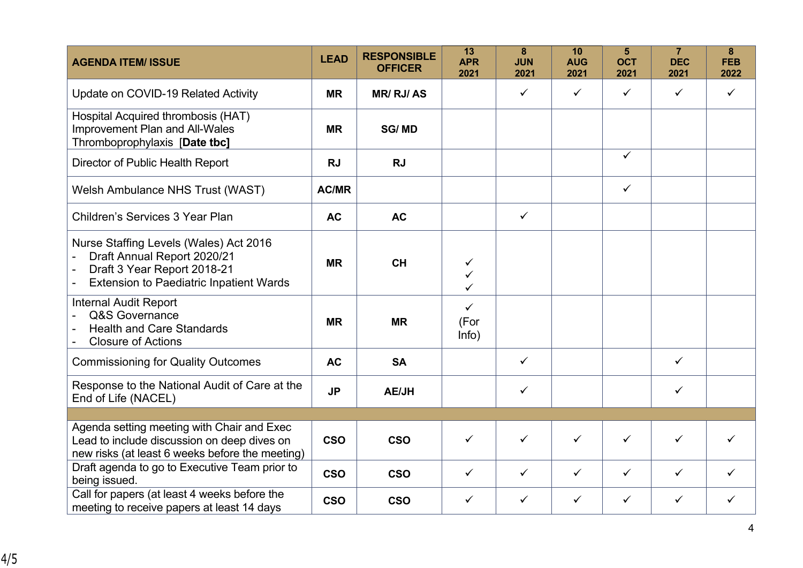| <b>AGENDA ITEM/ ISSUE</b>                                                                                                                              | <b>LEAD</b>  | <b>RESPONSIBLE</b><br><b>OFFICER</b> | 13<br><b>APR</b><br>2021      | 8<br><b>JUN</b><br>2021 | 10<br><b>AUG</b><br>2021 | 5<br><b>OCT</b><br>2021 | $\overline{7}$<br><b>DEC</b><br>2021 | 8<br><b>FEB</b><br>2022 |
|--------------------------------------------------------------------------------------------------------------------------------------------------------|--------------|--------------------------------------|-------------------------------|-------------------------|--------------------------|-------------------------|--------------------------------------|-------------------------|
| Update on COVID-19 Related Activity                                                                                                                    | <b>MR</b>    | <b>MR/ RJ/ AS</b>                    |                               | $\checkmark$            | $\checkmark$             | $\checkmark$            | $\checkmark$                         | $\checkmark$            |
| Hospital Acquired thrombosis (HAT)<br><b>Improvement Plan and All-Wales</b><br>Thromboprophylaxis [Date tbc]                                           | <b>MR</b>    | <b>SG/MD</b>                         |                               |                         |                          |                         |                                      |                         |
| Director of Public Health Report                                                                                                                       | <b>RJ</b>    | <b>RJ</b>                            |                               |                         |                          | $\checkmark$            |                                      |                         |
| Welsh Ambulance NHS Trust (WAST)                                                                                                                       | <b>AC/MR</b> |                                      |                               |                         |                          | $\checkmark$            |                                      |                         |
| Children's Services 3 Year Plan                                                                                                                        | <b>AC</b>    | <b>AC</b>                            |                               | ✓                       |                          |                         |                                      |                         |
| Nurse Staffing Levels (Wales) Act 2016<br>Draft Annual Report 2020/21<br>Draft 3 Year Report 2018-21<br><b>Extension to Paediatric Inpatient Wards</b> | <b>MR</b>    | <b>CH</b>                            | ✓<br>✓                        |                         |                          |                         |                                      |                         |
| <b>Internal Audit Report</b><br>Q&S Governance<br><b>Health and Care Standards</b><br><b>Closure of Actions</b>                                        | <b>MR</b>    | <b>MR</b>                            | $\checkmark$<br>(For<br>Info) |                         |                          |                         |                                      |                         |
| <b>Commissioning for Quality Outcomes</b>                                                                                                              | <b>AC</b>    | <b>SA</b>                            |                               | ✓                       |                          |                         | $\checkmark$                         |                         |
| Response to the National Audit of Care at the<br>End of Life (NACEL)                                                                                   | <b>JP</b>    | <b>AE/JH</b>                         |                               | ✓                       |                          |                         | ✓                                    |                         |
|                                                                                                                                                        |              |                                      |                               |                         |                          |                         |                                      |                         |
| Agenda setting meeting with Chair and Exec<br>Lead to include discussion on deep dives on<br>new risks (at least 6 weeks before the meeting)           | <b>CSO</b>   | <b>CSO</b>                           | $\checkmark$                  | $\checkmark$            | $\checkmark$             | $\checkmark$            | $\checkmark$                         | ✓                       |
| Draft agenda to go to Executive Team prior to<br>being issued.                                                                                         | <b>CSO</b>   | <b>CSO</b>                           | $\checkmark$                  | $\checkmark$            | $\checkmark$             | $\checkmark$            | $\checkmark$                         | ✓                       |
| Call for papers (at least 4 weeks before the<br>meeting to receive papers at least 14 days                                                             | <b>CSO</b>   | <b>CSO</b>                           | $\checkmark$                  | ✓                       | $\checkmark$             | $\checkmark$            | ✓                                    | ✓                       |